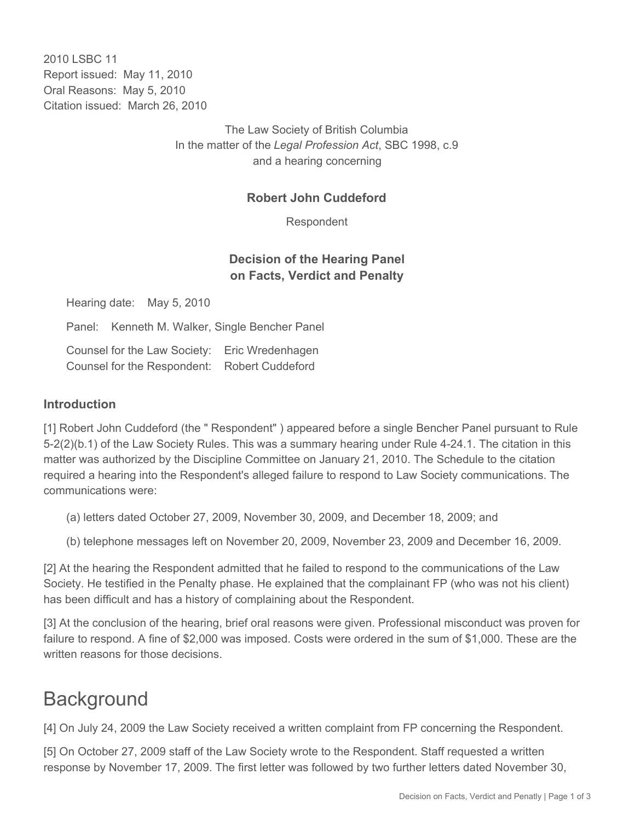2010 LSBC 11 Report issued: May 11, 2010 Oral Reasons: May 5, 2010 Citation issued: March 26, 2010

> The Law Society of British Columbia In the matter of the *Legal Profession Act*, SBC 1998, c.9 and a hearing concerning

#### **Robert John Cuddeford**

Respondent

### **Decision of the Hearing Panel on Facts, Verdict and Penalty**

Hearing date: May 5, 2010

Panel: Kenneth M. Walker, Single Bencher Panel

Counsel for the Law Society: Eric Wredenhagen Counsel for the Respondent: Robert Cuddeford

#### **Introduction**

[1] Robert John Cuddeford (the " Respondent" ) appeared before a single Bencher Panel pursuant to Rule 5-2(2)(b.1) of the Law Society Rules. This was a summary hearing under Rule 4-24.1. The citation in this matter was authorized by the Discipline Committee on January 21, 2010. The Schedule to the citation required a hearing into the Respondent's alleged failure to respond to Law Society communications. The communications were:

- (a) letters dated October 27, 2009, November 30, 2009, and December 18, 2009; and
- (b) telephone messages left on November 20, 2009, November 23, 2009 and December 16, 2009.

[2] At the hearing the Respondent admitted that he failed to respond to the communications of the Law Society. He testified in the Penalty phase. He explained that the complainant FP (who was not his client) has been difficult and has a history of complaining about the Respondent.

[3] At the conclusion of the hearing, brief oral reasons were given. Professional misconduct was proven for failure to respond. A fine of \$2,000 was imposed. Costs were ordered in the sum of \$1,000. These are the written reasons for those decisions.

# **Background**

[4] On July 24, 2009 the Law Society received a written complaint from FP concerning the Respondent.

[5] On October 27, 2009 staff of the Law Society wrote to the Respondent. Staff requested a written response by November 17, 2009. The first letter was followed by two further letters dated November 30,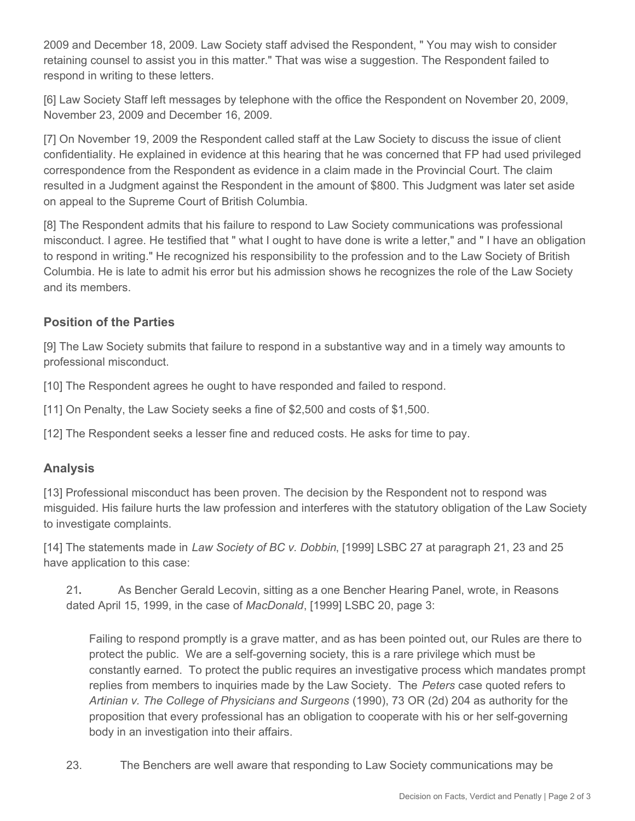2009 and December 18, 2009. Law Society staff advised the Respondent, " You may wish to consider retaining counsel to assist you in this matter." That was wise a suggestion. The Respondent failed to respond in writing to these letters.

[6] Law Society Staff left messages by telephone with the office the Respondent on November 20, 2009, November 23, 2009 and December 16, 2009.

[7] On November 19, 2009 the Respondent called staff at the Law Society to discuss the issue of client confidentiality. He explained in evidence at this hearing that he was concerned that FP had used privileged correspondence from the Respondent as evidence in a claim made in the Provincial Court. The claim resulted in a Judgment against the Respondent in the amount of \$800. This Judgment was later set aside on appeal to the Supreme Court of British Columbia.

[8] The Respondent admits that his failure to respond to Law Society communications was professional misconduct. I agree. He testified that " what I ought to have done is write a letter," and " I have an obligation to respond in writing." He recognized his responsibility to the profession and to the Law Society of British Columbia. He is late to admit his error but his admission shows he recognizes the role of the Law Society and its members.

#### **Position of the Parties**

[9] The Law Society submits that failure to respond in a substantive way and in a timely way amounts to professional misconduct.

[10] The Respondent agrees he ought to have responded and failed to respond.

[11] On Penalty, the Law Society seeks a fine of \$2,500 and costs of \$1,500.

[12] The Respondent seeks a lesser fine and reduced costs. He asks for time to pay.

#### **Analysis**

[13] Professional misconduct has been proven. The decision by the Respondent not to respond was misguided. His failure hurts the law profession and interferes with the statutory obligation of the Law Society to investigate complaints.

[14] The statements made in *Law Society of BC v. Dobbin*, [1999] LSBC 27 at paragraph 21, 23 and 25 have application to this case:

21**.**  As Bencher Gerald Lecovin, sitting as a one Bencher Hearing Panel, wrote, in Reasons dated April 15, 1999, in the case of *MacDonald*, [1999] LSBC 20, page 3:

Failing to respond promptly is a grave matter, and as has been pointed out, our Rules are there to protect the public. We are a self-governing society, this is a rare privilege which must be constantly earned. To protect the public requires an investigative process which mandates prompt replies from members to inquiries made by the Law Society. The *Peters* case quoted refers to *Artinian v. The College of Physicians and Surgeons* (1990), 73 OR (2d) 204 as authority for the proposition that every professional has an obligation to cooperate with his or her self-governing body in an investigation into their affairs.

23. The Benchers are well aware that responding to Law Society communications may be